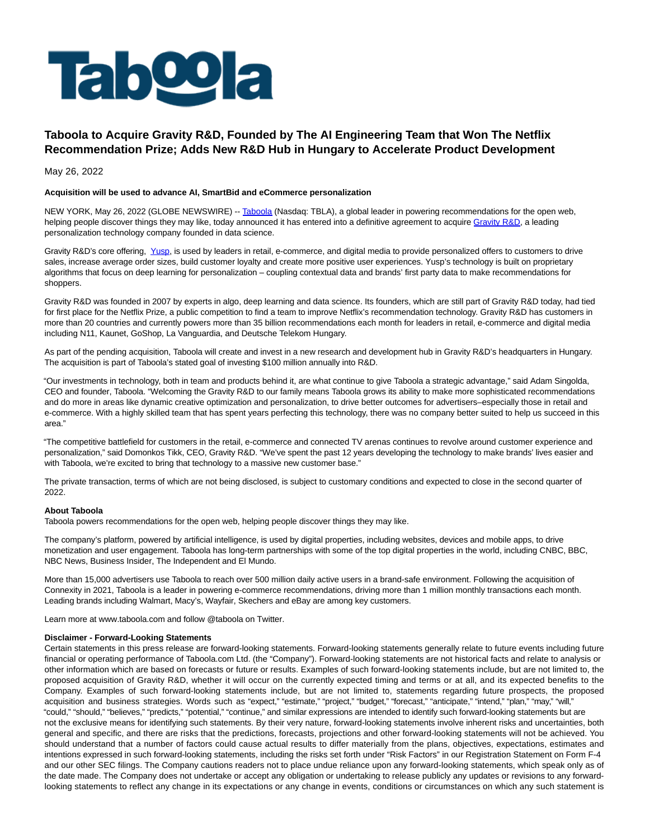

## **Taboola to Acquire Gravity R&D, Founded by The AI Engineering Team that Won The Netflix Recommendation Prize; Adds New R&D Hub in Hungary to Accelerate Product Development**

May 26, 2022

## **Acquisition will be used to advance AI, SmartBid and eCommerce personalization**

NEW YORK, May 26, 2022 (GLOBE NEWSWIRE) -- [Taboola \(](https://www.globenewswire.com/Tracker?data=ex8SHZiT0vDW_9_wra4ra-4NPcjqozK1tktbAIyX6GujzBXXuA7bG4c03oUkJx7S10BWGTqiz5dT6Ivj9pPWVw==)Nasdaq: TBLA), a global leader in powering recommendations for the open web, helping people discover things they may like, today announced it has entered into a definitive agreement to acquire [Gravity R&D,](https://www.globenewswire.com/Tracker?data=AntFNG-n9j2o-N7_e6IvaAgBZEWgC41StfBBg0e2uUQ_oo0ZX_M4-fENMO92ENigdktrf8aInkJqdpsDcKxE7Fys2ype55PVvt6Ok9PFh-o=) a leading personalization technology company founded in data science.

Gravity R&D's core offering, [Yusp,](https://www.globenewswire.com/Tracker?data=Pq6GFebY8dzqcCsXJfXWiYW1ljmjil_-FBPhZ7F-_OyUMmlgl7b3L9_ypN_HxCyo) is used by leaders in retail, e-commerce, and digital media to provide personalized offers to customers to drive sales, increase average order sizes, build customer loyalty and create more positive user experiences. Yusp's technology is built on proprietary algorithms that focus on deep learning for personalization – coupling contextual data and brands' first party data to make recommendations for shoppers.

Gravity R&D was founded in 2007 by experts in algo, deep learning and data science. Its founders, which are still part of Gravity R&D today, had tied for first place for the Netflix Prize, a public competition to find a team to improve Netflix's recommendation technology. Gravity R&D has customers in more than 20 countries and currently powers more than 35 billion recommendations each month for leaders in retail, e-commerce and digital media including N11, Kaunet, GoShop, La Vanguardia, and Deutsche Telekom Hungary.

As part of the pending acquisition, Taboola will create and invest in a new research and development hub in Gravity R&D's headquarters in Hungary. The acquisition is part of Taboola's stated goal of investing \$100 million annually into R&D.

"Our investments in technology, both in team and products behind it, are what continue to give Taboola a strategic advantage," said Adam Singolda, CEO and founder, Taboola. "Welcoming the Gravity R&D to our family means Taboola grows its ability to make more sophisticated recommendations and do more in areas like dynamic creative optimization and personalization, to drive better outcomes for advertisers–especially those in retail and e-commerce. With a highly skilled team that has spent years perfecting this technology, there was no company better suited to help us succeed in this area."

"The competitive battlefield for customers in the retail, e-commerce and connected TV arenas continues to revolve around customer experience and personalization," said Domonkos Tikk, CEO, Gravity R&D. "We've spent the past 12 years developing the technology to make brands' lives easier and with Taboola, we're excited to bring that technology to a massive new customer base."

The private transaction, terms of which are not being disclosed, is subject to customary conditions and expected to close in the second quarter of 2022.

## **About Taboola**

Taboola powers recommendations for the open web, helping people discover things they may like.

The company's platform, powered by artificial intelligence, is used by digital properties, including websites, devices and mobile apps, to drive monetization and user engagement. Taboola has long-term partnerships with some of the top digital properties in the world, including CNBC, BBC, NBC News, Business Insider, The Independent and El Mundo.

More than 15,000 advertisers use Taboola to reach over 500 million daily active users in a brand-safe environment. Following the acquisition of Connexity in 2021, Taboola is a leader in powering e-commerce recommendations, driving more than 1 million monthly transactions each month. Leading brands including Walmart, Macy's, Wayfair, Skechers and eBay are among key customers.

Learn more at www.taboola.com and follow @taboola on Twitter.

## **Disclaimer - Forward-Looking Statements**

Certain statements in this press release are forward-looking statements. Forward-looking statements generally relate to future events including future financial or operating performance of Taboola.com Ltd. (the "Company"). Forward-looking statements are not historical facts and relate to analysis or other information which are based on forecasts or future or results. Examples of such forward-looking statements include, but are not limited to, the proposed acquisition of Gravity R&D, whether it will occur on the currently expected timing and terms or at all, and its expected benefits to the Company. Examples of such forward-looking statements include, but are not limited to, statements regarding future prospects, the proposed acquisition and business strategies. Words such as "expect," "estimate," "project," "budget," "forecast," "anticipate," "intend," "plan," "may," "will," "could," "should," "believes," "predicts," "potential," "continue," and similar expressions are intended to identify such forward-looking statements but are not the exclusive means for identifying such statements. By their very nature, forward-looking statements involve inherent risks and uncertainties, both general and specific, and there are risks that the predictions, forecasts, projections and other forward-looking statements will not be achieved. You should understand that a number of factors could cause actual results to differ materially from the plans, objectives, expectations, estimates and intentions expressed in such forward-looking statements, including the risks set forth under "Risk Factors" in our Registration Statement on Form F-4 and our other SEC filings. The Company cautions readers not to place undue reliance upon any forward-looking statements, which speak only as of the date made. The Company does not undertake or accept any obligation or undertaking to release publicly any updates or revisions to any forwardlooking statements to reflect any change in its expectations or any change in events, conditions or circumstances on which any such statement is